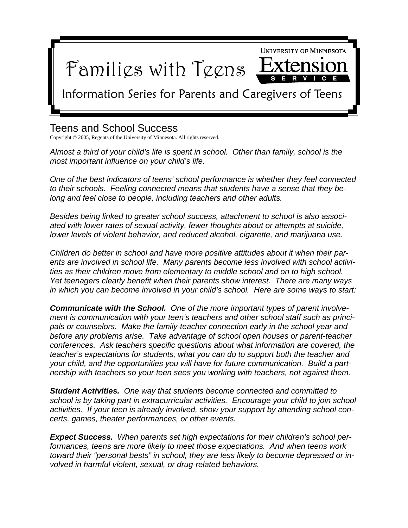

## Teens and School Success

Copyright © 2005, Regents of the University of Minnesota. All rights reserved.

*Almost a third of your child's life is spent in school. Other than family, school is the most important influence on your child's life.* 

*One of the best indicators of teens' school performance is whether they feel connected to their schools. Feeling connected means that students have a sense that they belong and feel close to people, including teachers and other adults.* 

*Besides being linked to greater school success, attachment to school is also associated with lower rates of sexual activity, fewer thoughts about or attempts at suicide, lower levels of violent behavior, and reduced alcohol, cigarette, and marijuana use.* 

*Children do better in school and have more positive attitudes about it when their parents are involved in school life. Many parents become less involved with school activities as their children move from elementary to middle school and on to high school. Yet teenagers clearly benefit when their parents show interest. There are many ways in which you can become involved in your child's school. Here are some ways to start:* 

*Communicate with the School. One of the more important types of parent involvement is communication with your teen's teachers and other school staff such as principals or counselors. Make the family-teacher connection early in the school year and before any problems arise. Take advantage of school open houses or parent-teacher conferences. Ask teachers specific questions about what information are covered, the teacher's expectations for students, what you can do to support both the teacher and your child, and the opportunities you will have for future communication. Build a partnership with teachers so your teen sees you working with teachers, not against them.* 

*Student Activities. One way that students become connected and committed to school is by taking part in extracurricular activities. Encourage your child to join school activities. If your teen is already involved, show your support by attending school concerts, games, theater performances, or other events.* 

*Expect Success. When parents set high expectations for their children's school performances, teens are more likely to meet those expectations. And when teens work toward their "personal bests" in school, they are less likely to become depressed or involved in harmful violent, sexual, or drug-related behaviors.*